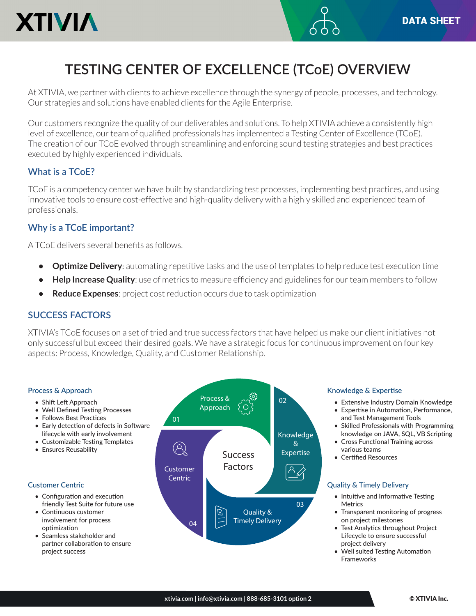

# **TESTING CENTER OF EXCELLENCE (TCoE) OVERVIEW**

At XTIVIA, we partner with clients to achieve excellence through the synergy of people, processes, and technology. Our strategies and solutions have enabled clients for the Agile Enterprise.

Our customers recognize the quality of our deliverables and solutions. To help XTIVIA achieve a consistently high level of excellence, our team of qualified professionals has implemented a Testing Center of Excellence (TCoE). The creation of our TCoE evolved through streamlining and enforcing sound testing strategies and best practices executed by highly experienced individuals.

## **What is a TCoE?**

TCoE is a competency center we have built by standardizing test processes, implementing best practices, and using innovative tools to ensure cost-effective and high-quality delivery with a highly skilled and experienced team of professionals.

# **Why is a TCoE important?**

A TCoE delivers several benefits as follows.

- **• Optimize Delivery**: automating repetitive tasks and the use of templates to help reduce test execution time
- **•• Help Increase Quality**: use of metrics to measure efficiency and guidelines for our team members to follow
- **• Reduce Expenses**: project cost reduction occurs due to task optimization

## **SUCCESS FACTORS**

XTIVIA's TCoE focuses on a set of tried and true success factors that have helped us make our client initiatives not only successful but exceed their desired goals. We have a strategic focus for continuous improvement on four key aspects: Process, Knowledge, Quality, and Customer Relationship.

#### Process & Approach

- Shift Left Approach
- Well Defined Testing Processes
- Follows Best Practices
- Early detection of defects in Software lifecycle with early involvement
- Customizable Testing Templates
- Ensures Reusability

#### Customer Centric

- Configuration and execution friendly Test Suite for future use
- Continuous customer involvement for process optimization
- Seamless stakeholder and partner collaboration to ensure project success



#### Knowledge & Expertise

- Extensive Industry Domain Knowledge
- Expertise in Automation, Performance, and Test Management Tools
- Skilled Professionals with Programming knowledge on JAVA, SQL, VB Scripting
- Cross Functional Training across various teams
- Certified Resources

#### Quality & Timely Delivery

- Intuitive and Informative Testing Metrics
- Transparent monitoring of progress on project milestones
- Test Analytics throughout Project Lifecycle to ensure successful project delivery
- Well suited Testing Automation Frameworks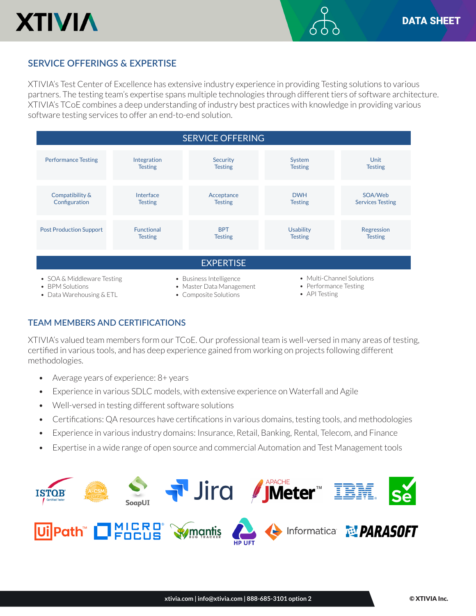

# **SERVICE OFFERINGS & EXPERTISE**

XTIVIA's Test Center of Excellence has extensive industry experience in providing Testing solutions to various partners. The testing team's expertise spans multiple technologies through different tiers of software architecture. XTIVIA's TCoE combines a deep understanding of industry best practices with knowledge in providing various software testing services to offer an end-to-end solution.



## **TEAM MEMBERS AND CERTIFICATIONS**

XTIVIA's valued team members form our TCoE. Our professional team is well-versed in many areas of testing, certified in various tools, and has deep experience gained from working on projects following different methodologies.

- Average years of experience: 8+ years
- Experience in various SDLC models, with extensive experience on Waterfall and Agile
- Well-versed in testing different software solutions
- Certifications: QA resources have certifications in various domains, testing tools, and methodologies
- Experience in various industry domains: Insurance, Retail, Banking, Rental, Telecom, and Finance
- Expertise in a wide range of open source and commercial Automation and Test Management tools

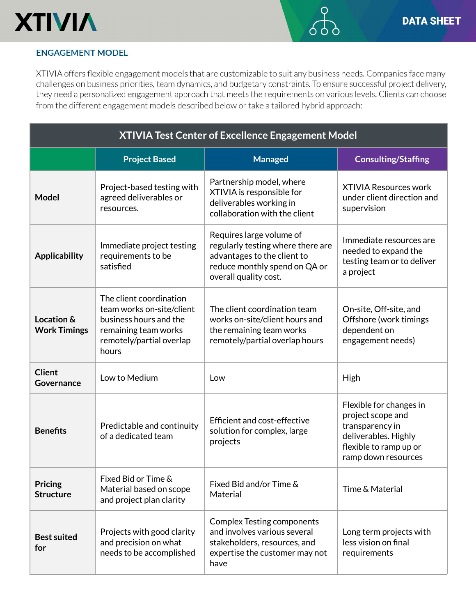

## **ENGAGEMENT MODEL**

XTIVIA offers flexible engagement models that are customizable to suit any business needs. Companies face many challenges on business priorities, team dynamics, and budgetary constraints. To ensure successful project delivery, they need a personalized engagement approach that meets the requirements on various levels. Clients can choose from the different engagement models described below or take a tailored hybrid approach:

| <b>XTIVIA Test Center of Excellence Engagement Model</b> |                                                                                                                                             |                                                                                                                                                        |                                                                                                                                          |
|----------------------------------------------------------|---------------------------------------------------------------------------------------------------------------------------------------------|--------------------------------------------------------------------------------------------------------------------------------------------------------|------------------------------------------------------------------------------------------------------------------------------------------|
|                                                          | <b>Project Based</b>                                                                                                                        | <b>Managed</b>                                                                                                                                         | <b>Consulting/Staffing</b>                                                                                                               |
| <b>Model</b>                                             | Project-based testing with<br>agreed deliverables or<br>resources.                                                                          | Partnership model, where<br>XTIVIA is responsible for<br>deliverables working in<br>collaboration with the client                                      | <b>XTIVIA Resources work</b><br>under client direction and<br>supervision                                                                |
| <b>Applicability</b>                                     | Immediate project testing<br>requirements to be<br>satisfied                                                                                | Requires large volume of<br>regularly testing where there are<br>advantages to the client to<br>reduce monthly spend on QA or<br>overall quality cost. | Immediate resources are<br>needed to expand the<br>testing team or to deliver<br>a project                                               |
| Location &<br><b>Work Timings</b>                        | The client coordination<br>team works on-site/client<br>business hours and the<br>remaining team works<br>remotely/partial overlap<br>hours | The client coordination team<br>works on-site/client hours and<br>the remaining team works<br>remotely/partial overlap hours                           | On-site, Off-site, and<br>Offshore (work timings<br>dependent on<br>engagement needs)                                                    |
| <b>Client</b><br>Governance                              | Low to Medium                                                                                                                               | Low                                                                                                                                                    | High                                                                                                                                     |
| <b>Benefits</b>                                          | Predictable and continuity<br>of a dedicated team                                                                                           | Efficient and cost-effective<br>solution for complex, large<br>projects                                                                                | Flexible for changes in<br>project scope and<br>transparency in<br>deliverables. Highly<br>flexible to ramp up or<br>ramp down resources |
| Pricing<br><b>Structure</b>                              | Fixed Bid or Time &<br>Material based on scope<br>and project plan clarity                                                                  | Fixed Bid and/or Time &<br>Material                                                                                                                    | Time & Material                                                                                                                          |
| <b>Best suited</b><br>for                                | Projects with good clarity<br>and precision on what<br>needs to be accomplished                                                             | <b>Complex Testing components</b><br>and involves various several<br>stakeholders, resources, and<br>expertise the customer may not<br>have            | Long term projects with<br>less vision on final<br>requirements                                                                          |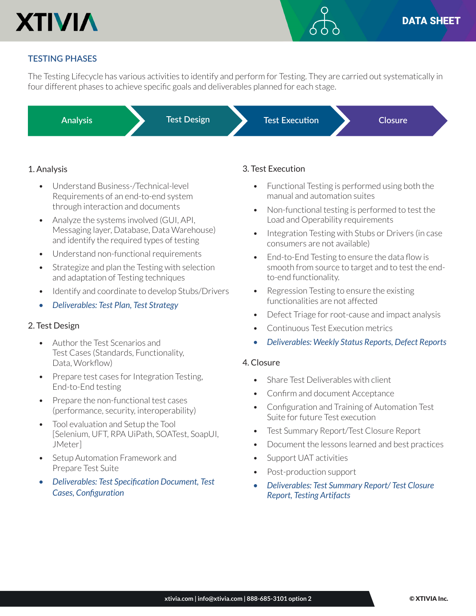

## **TESTING PHASES**

The Testing Lifecycle has various activities to identify and perform for Testing. They are carried out systematically in four different phases to achieve specific goals and deliverables planned for each stage.

**Analysis Test Design Test Execution Closure**

## 1. Analysis

- Understand Business-/Technical-level Requirements of an end-to-end system through interaction and documents
- Analyze the systems involved (GUI, API, Messaging layer, Database, Data Warehouse) and identify the required types of testing
- Understand non-functional requirements
- Strategize and plan the Testing with selection and adaptation of Testing techniques
- Identify and coordinate to develop Stubs/Drivers
- *• Deliverables: Test Plan, Test Strategy*

#### 2. Test Design

- Author the Test Scenarios and Test Cases (Standards, Functionality, Data, Workflow)
- Prepare test cases for Integration Testing, End-to-End testing
- Prepare the non-functional test cases (performance, security, interoperability)
- Tool evaluation and Setup the Tool [Selenium, UFT, RPA UiPath, SOATest, SoapUI, JMeter]
- Setup Automation Framework and Prepare Test Suite
- *• Deliverables: Test Specification Document, Test Cases, Configuration*

### 3. Test Execution

- Functional Testing is performed using both the manual and automation suites
- Non-functional testing is performed to test the Load and Operability requirements
- Integration Testing with Stubs or Drivers (in case consumers are not available)
- End-to-End Testing to ensure the data flow is smooth from source to target and to test the endto-end functionality.
- Regression Testing to ensure the existing functionalities are not affected
- Defect Triage for root-cause and impact analysis
- Continuous Test Execution metrics
- *• Deliverables: Weekly Status Reports, Defect Reports*

#### 4. Closure

- Share Test Deliverables with client
- Confirm and document Acceptance
- Configuration and Training of Automation Test Suite for future Test execution
- Test Summary Report/Test Closure Report
- Document the lessons learned and best practices
- Support UAT activities
- Post-production support
- *• Deliverables: Test Summary Report/ Test Closure Report, Testing Artifacts*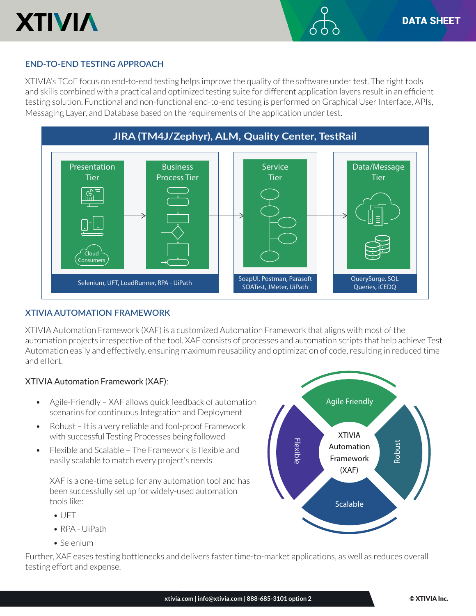

## **END-TO-END TESTING APPROACH**

XTIVIA's TCoE focus on end-to-end testing helps improve the quality of the software under test. The right tools and skills combined with a practical and optimized testing suite for different application layers result in an efficient testing solution. Functional and non-functional end-to-end testing is performed on Graphical User Interface, APIs, Messaging Layer, and Database based on the requirements of the application under test.



#### **XTIVIA AUTOMATION FRAMEWORK**

XTIVIA Automation Framework (XAF) is a customized Automation Framework that aligns with most of the automation projects irrespective of the tool. XAF consists of processes and automation scripts that help achieve Test Automation easily and effectively, ensuring maximum reusability and optimization of code, resulting in reduced time and effort.

#### XTIVIA Automation Framework (XAF):

- Agile-Friendly XAF allows quick feedback of automation scenarios for continuous Integration and Deployment
- Robust It is a very reliable and fool-proof Framework with successful Testing Processes being followed
- Flexible and Scalable The Framework is flexible and easily scalable to match every project's needs

XAF is a one-time setup for any automation tool and has been successfully set up for widely-used automation tools like:

- UFT
- RPA UiPath
- Selenium

Further, XAF eases testing bottlenecks and delivers faster time-to-market applications, as well as reduces overall testing effort and expense.

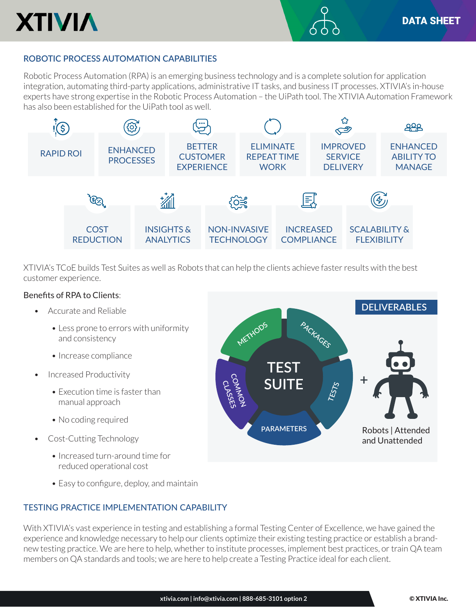

# **ROBOTIC PROCESS AUTOMATION CAPABILITIES**

Robotic Process Automation (RPA) is an emerging business technology and is a complete solution for application integration, automating third-party applications, administrative IT tasks, and business IT processes. XTIVIA's in-house experts have strong expertise in the Robotic Process Automation – the UiPath tool. The XTIVIA Automation Framework has also been established for the UiPath tool as well.



XTIVIA's TCoE builds Test Suites as well as Robots that can help the clients achieve faster results with the best customer experience.

## Benefits of RPA to Clients:

- Accurate and Reliable
	- Less prone to errors with uniformity and consistency
	- Increase compliance
- Increased Productivity
	- Execution time is faster than manual approach
	- No coding required
- Cost-Cutting Technology
	- Increased turn-around time for reduced operational cost
	- Easy to configure, deploy, and maintain

## TESTING PRACTICE IMPLEMENTATION CAPABILITY

With XTIVIA's vast experience in testing and establishing a formal Testing Center of Excellence, we have gained the experience and knowledge necessary to help our clients optimize their existing testing practice or establish a brandnew testing practice. We are here to help, whether to institute processes, implement best practices, or train QA team members on QA standards and tools; we are here to help create a Testing Practice ideal for each client.